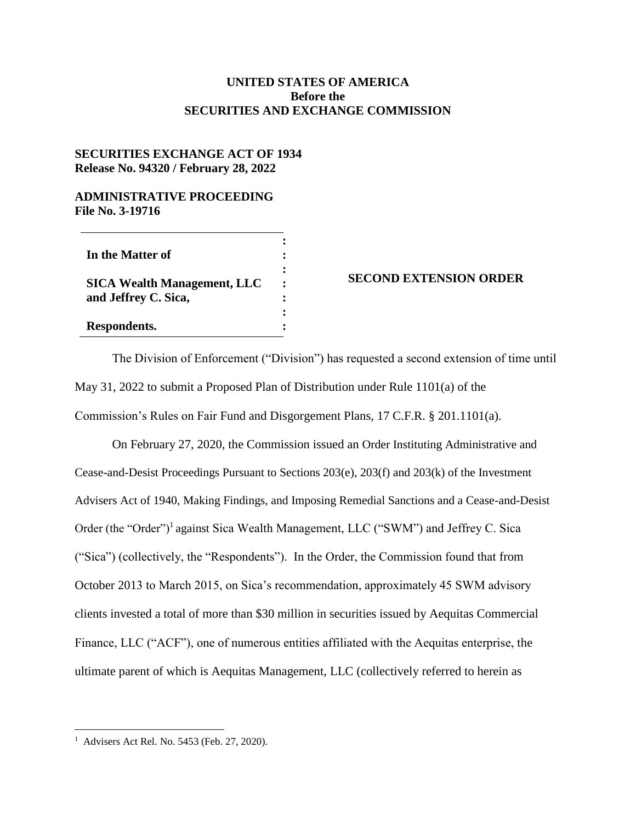## **UNITED STATES OF AMERICA Before the SECURITIES AND EXCHANGE COMMISSION**

## **SECURITIES EXCHANGE ACT OF 1934 Release No. 94320 / February 28, 2022**

## **ADMINISTRATIVE PROCEEDING File No. 3-19716**

| In the Matter of                                           |                      |
|------------------------------------------------------------|----------------------|
| <b>SICA Wealth Management, LLC</b><br>and Jeffrey C. Sica, | $\ddot{\phantom{a}}$ |
| Respondents.                                               |                      |

## **SECOND EXTENSION ORDER**

The Division of Enforcement ("Division") has requested a second extension of time until May 31, 2022 to submit a Proposed Plan of Distribution under Rule 1101(a) of the Commission's Rules on Fair Fund and Disgorgement Plans, 17 C.F.R. § 201.1101(a).

On February 27, 2020, the Commission issued an Order Instituting Administrative and Cease-and-Desist Proceedings Pursuant to Sections 203(e), 203(f) and 203(k) of the Investment Advisers Act of 1940, Making Findings, and Imposing Remedial Sanctions and a Cease-and-Desist Order (the "Order")<sup>1</sup> against Sica Wealth Management, LLC ("SWM") and Jeffrey C. Sica ("Sica") (collectively, the "Respondents"). In the Order, the Commission found that from October 2013 to March 2015, on Sica's recommendation, approximately 45 SWM advisory clients invested a total of more than \$30 million in securities issued by Aequitas Commercial Finance, LLC ("ACF"), one of numerous entities affiliated with the Aequitas enterprise, the ultimate parent of which is Aequitas Management, LLC (collectively referred to herein as

 $\overline{a}$ 

<sup>1</sup> Advisers Act Rel. No. 5453 (Feb. 27, 2020).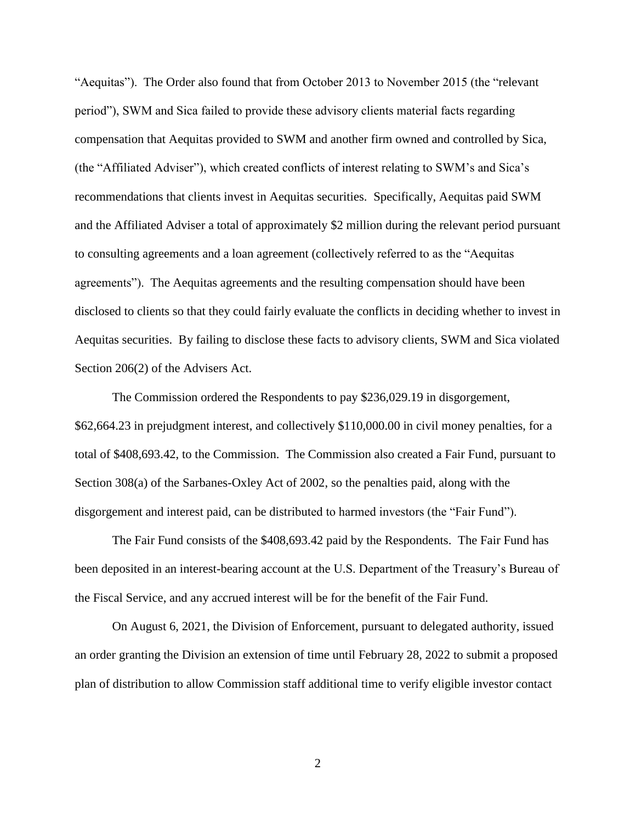"Aequitas"). The Order also found that from October 2013 to November 2015 (the "relevant period"), SWM and Sica failed to provide these advisory clients material facts regarding compensation that Aequitas provided to SWM and another firm owned and controlled by Sica, (the "Affiliated Adviser"), which created conflicts of interest relating to SWM's and Sica's recommendations that clients invest in Aequitas securities. Specifically, Aequitas paid SWM and the Affiliated Adviser a total of approximately \$2 million during the relevant period pursuant to consulting agreements and a loan agreement (collectively referred to as the "Aequitas agreements"). The Aequitas agreements and the resulting compensation should have been disclosed to clients so that they could fairly evaluate the conflicts in deciding whether to invest in Aequitas securities. By failing to disclose these facts to advisory clients, SWM and Sica violated Section 206(2) of the Advisers Act.

The Commission ordered the Respondents to pay \$236,029.19 in disgorgement, \$62,664.23 in prejudgment interest, and collectively \$110,000.00 in civil money penalties, for a total of \$408,693.42, to the Commission. The Commission also created a Fair Fund, pursuant to Section 308(a) of the Sarbanes-Oxley Act of 2002, so the penalties paid, along with the disgorgement and interest paid, can be distributed to harmed investors (the "Fair Fund").

The Fair Fund consists of the \$408,693.42 paid by the Respondents. The Fair Fund has been deposited in an interest-bearing account at the U.S. Department of the Treasury's Bureau of the Fiscal Service, and any accrued interest will be for the benefit of the Fair Fund.

On August 6, 2021, the Division of Enforcement, pursuant to delegated authority, issued an order granting the Division an extension of time until February 28, 2022 to submit a proposed plan of distribution to allow Commission staff additional time to verify eligible investor contact

2